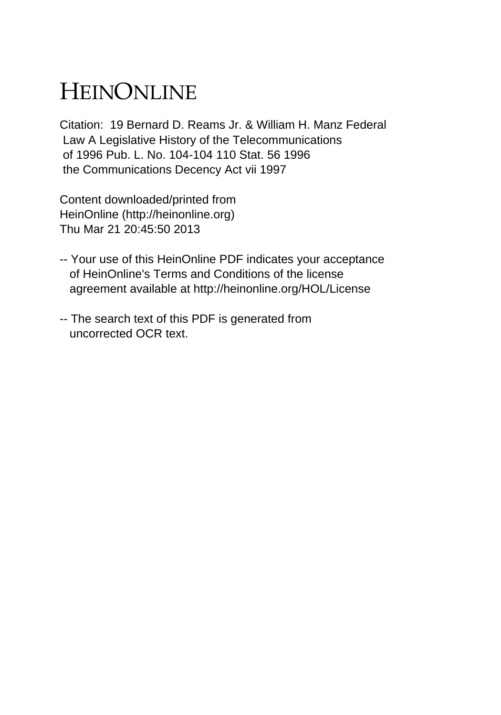# HEINONLINE

Citation: 19 Bernard D. Reams Jr. & William H. Manz Federal Law A Legislative History of the Telecommunications of 1996 Pub. L. No. 104-104 110 Stat. 56 1996 the Communications Decency Act vii 1997

Content downloaded/printed from HeinOnline (http://heinonline.org) Thu Mar 21 20:45:50 2013

- -- Your use of this HeinOnline PDF indicates your acceptance of HeinOnline's Terms and Conditions of the license agreement available at http://heinonline.org/HOL/License
- -- The search text of this PDF is generated from uncorrected OCR text.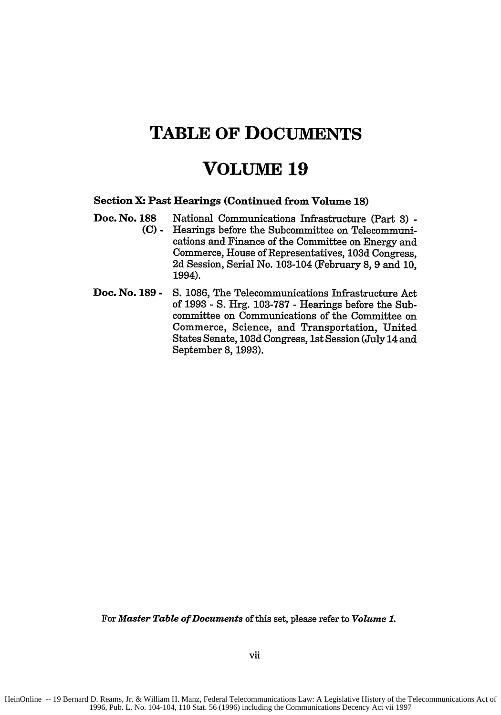#### **TABLE OF DOCUMENTS**

### **VOLUME 19**

#### **Section X: Past Hearings (Continued from Volume 18)**

- **Doc. No. 188 (C) -** National Communications Infrastructure (Part **3)** - Hearings before the Subcommittee on Telecommunications and Finance of the Committee on Energy and Commerce, House of Representatives, **103d** Congress, 2d Session, Serial No. 103-104 (February **8,** 9 and **10,** 1994).
- **Doc. No. 189 - S. 1086,** The Telecommunications Infrastructure Act of 1993 **- S.** Hrg. **103-787 -** Hearings before the Subcommittee on Communications of the Committee on Commerce, Science, and Transportation, United States Senate, **103d** Congress, 1st Session (July 14 and September **8,** 1993).

For *Master Table of Documents* **of** this set, please refer to *Volume L*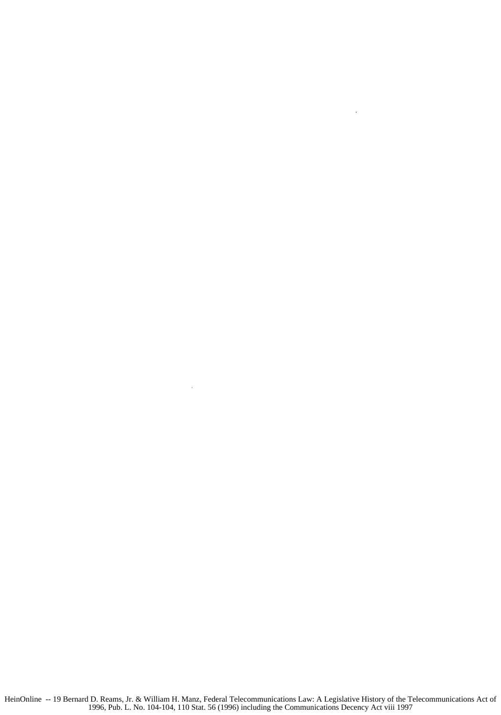HeinOnline -- 19 Bernard D. Reams, Jr. & William H. Manz, Federal Telecommunications Law: A Legislative History of the Telecommunications Act of 1996, Pub. L. No. 104-104, 110 Stat. 56 (1996) including the Communications Decency Act viii 1997

 $\mathcal{L}$ 

 $\sim$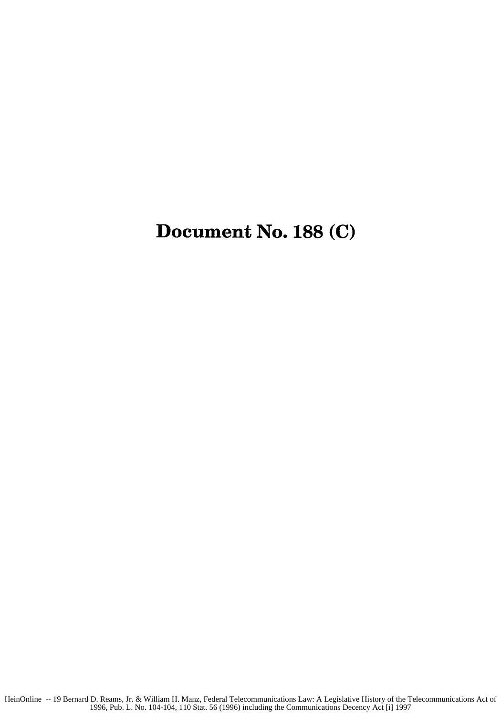## Document No. **188 (C)**